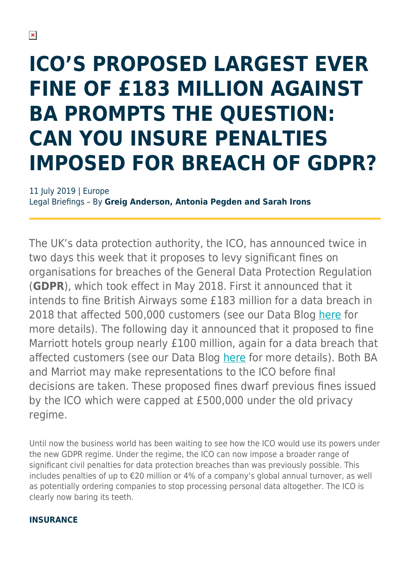# **ICO'S PROPOSED LARGEST EVER FINE OF £183 MILLION AGAINST BA PROMPTS THE QUESTION: CAN YOU INSURE PENALTIES IMPOSED FOR BREACH OF GDPR?**

11 July 2019 | Europe Legal Briefings – By **Greig Anderson, Antonia Pegden and Sarah Irons**

The UK's data protection authority, the ICO, has announced twice in two days this week that it proposes to levy significant fines on organisations for breaches of the General Data Protection Regulation (**GDPR**), which took effect in May 2018. First it announced that it intends to fine British Airways some £183 million for a data breach in 2018 that affected 500,000 customers (see our Data Blog [here](https://hsfnotes.com/data/2019/07/09/british-airways-data-breach-ico-announces-potential-183-million-mega-fine/) for more details). The following day it announced that it proposed to fine Marriott hotels group nearly £100 million, again for a data breach that affected customers (see our Data Blog [here](https://hsfnotes.com/data/2019/07/10/marriott-starwood-data-breach-ico-intention-to-issue-another-big-99-million-mega-fine/) for more details). Both BA and Marriot may make representations to the ICO before final decisions are taken. These proposed fines dwarf previous fines issued by the ICO which were capped at £500,000 under the old privacy regime.

Until now the business world has been waiting to see how the ICO would use its powers under the new GDPR regime. Under the regime, the ICO can now impose a broader range of significant civil penalties for data protection breaches than was previously possible. This includes penalties of up to €20 million or 4% of a company's global annual turnover, as well as potentially ordering companies to stop processing personal data altogether. The ICO is clearly now baring its teeth.

### **INSURANCE**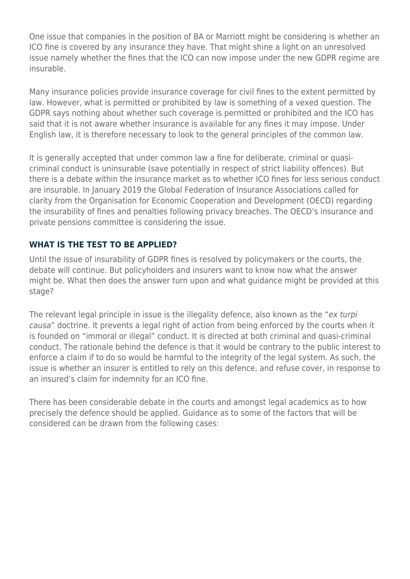One issue that companies in the position of BA or Marriott might be considering is whether an ICO fine is covered by any insurance they have. That might shine a light on an unresolved issue namely whether the fines that the ICO can now impose under the new GDPR regime are insurable.

Many insurance policies provide insurance coverage for civil fines to the extent permitted by law. However, what is permitted or prohibited by law is something of a vexed question. The GDPR says nothing about whether such coverage is permitted or prohibited and the ICO has said that it is not aware whether insurance is available for any fines it may impose. Under English law, it is therefore necessary to look to the general principles of the common law.

It is generally accepted that under common law a fine for deliberate, criminal or quasicriminal conduct is uninsurable (save potentially in respect of strict liability offences). But there is a debate within the insurance market as to whether ICO fines for less serious conduct are insurable. In January 2019 the Global Federation of Insurance Associations called for clarity from the Organisation for Economic Cooperation and Development (OECD) regarding the insurability of fines and penalties following privacy breaches. The OECD's insurance and private pensions committee is considering the issue.

## **WHAT IS THE TEST TO BE APPLIED?**

Until the issue of insurability of GDPR fines is resolved by policymakers or the courts, the debate will continue. But policyholders and insurers want to know now what the answer might be. What then does the answer turn upon and what guidance might be provided at this stage?

The relevant legal principle in issue is the illegality defence, also known as the "ex turpi causa" doctrine. It prevents a legal right of action from being enforced by the courts when it is founded on "immoral or illegal" conduct. It is directed at both criminal and quasi-criminal conduct. The rationale behind the defence is that it would be contrary to the public interest to enforce a claim if to do so would be harmful to the integrity of the legal system. As such, the issue is whether an insurer is entitled to rely on this defence, and refuse cover, in response to an insured's claim for indemnity for an ICO fine.

There has been considerable debate in the courts and amongst legal academics as to how precisely the defence should be applied. Guidance as to some of the factors that will be considered can be drawn from the following cases: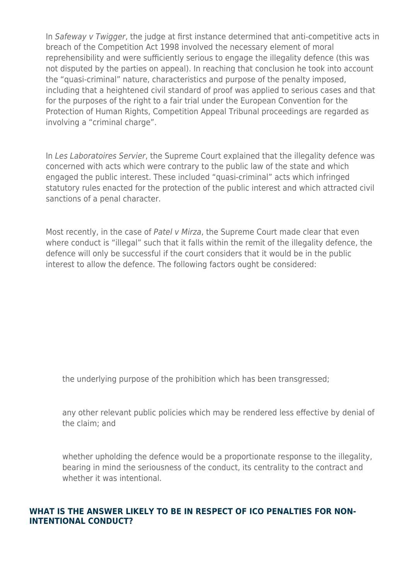In Safeway y Twigger, the judge at first instance determined that anti-competitive acts in breach of the Competition Act 1998 involved the necessary element of moral reprehensibility and were sufficiently serious to engage the illegality defence (this was not disputed by the parties on appeal). In reaching that conclusion he took into account the "quasi-criminal" nature, characteristics and purpose of the penalty imposed, including that a heightened civil standard of proof was applied to serious cases and that for the purposes of the right to a fair trial under the European Convention for the Protection of Human Rights, Competition Appeal Tribunal proceedings are regarded as involving a "criminal charge".

In Les Laboratoires Servier, the Supreme Court explained that the illegality defence was concerned with acts which were contrary to the public law of the state and which engaged the public interest. These included "quasi-criminal" acts which infringed statutory rules enacted for the protection of the public interest and which attracted civil sanctions of a penal character.

Most recently, in the case of Patel v Mirza, the Supreme Court made clear that even where conduct is "illegal" such that it falls within the remit of the illegality defence, the defence will only be successful if the court considers that it would be in the public interest to allow the defence. The following factors ought be considered:

the underlying purpose of the prohibition which has been transgressed;

any other relevant public policies which may be rendered less effective by denial of the claim; and

whether upholding the defence would be a proportionate response to the illegality, bearing in mind the seriousness of the conduct, its centrality to the contract and whether it was intentional.

#### **WHAT IS THE ANSWER LIKELY TO BE IN RESPECT OF ICO PENALTIES FOR NON-INTENTIONAL CONDUCT?**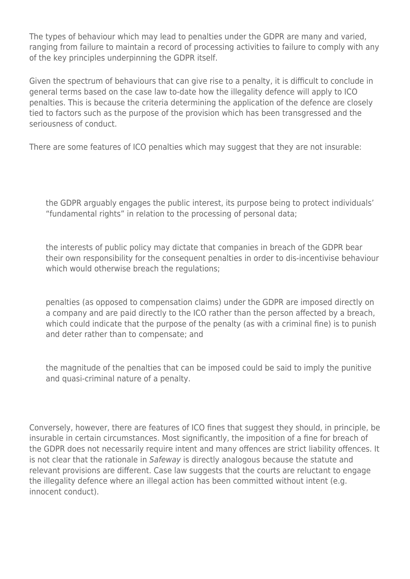The types of behaviour which may lead to penalties under the GDPR are many and varied, ranging from failure to maintain a record of processing activities to failure to comply with any of the key principles underpinning the GDPR itself.

Given the spectrum of behaviours that can give rise to a penalty, it is difficult to conclude in general terms based on the case law to-date how the illegality defence will apply to ICO penalties. This is because the criteria determining the application of the defence are closely tied to factors such as the purpose of the provision which has been transgressed and the seriousness of conduct.

There are some features of ICO penalties which may suggest that they are not insurable:

the GDPR arguably engages the public interest, its purpose being to protect individuals' "fundamental rights" in relation to the processing of personal data;

the interests of public policy may dictate that companies in breach of the GDPR bear their own responsibility for the consequent penalties in order to dis-incentivise behaviour which would otherwise breach the regulations;

penalties (as opposed to compensation claims) under the GDPR are imposed directly on a company and are paid directly to the ICO rather than the person affected by a breach, which could indicate that the purpose of the penalty (as with a criminal fine) is to punish and deter rather than to compensate; and

the magnitude of the penalties that can be imposed could be said to imply the punitive and quasi-criminal nature of a penalty.

Conversely, however, there are features of ICO fines that suggest they should, in principle, be insurable in certain circumstances. Most significantly, the imposition of a fine for breach of the GDPR does not necessarily require intent and many offences are strict liability offences. It is not clear that the rationale in Safeway is directly analogous because the statute and relevant provisions are different. Case law suggests that the courts are reluctant to engage the illegality defence where an illegal action has been committed without intent (e.g. innocent conduct).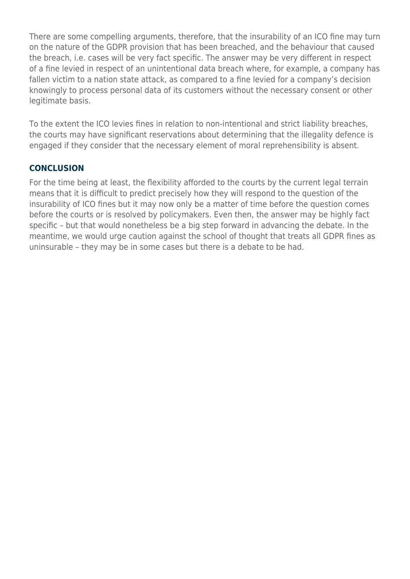There are some compelling arguments, therefore, that the insurability of an ICO fine may turn on the nature of the GDPR provision that has been breached, and the behaviour that caused the breach, i.e. cases will be very fact specific. The answer may be very different in respect of a fine levied in respect of an unintentional data breach where, for example, a company has fallen victim to a nation state attack, as compared to a fine levied for a company's decision knowingly to process personal data of its customers without the necessary consent or other legitimate basis.

To the extent the ICO levies fines in relation to non-intentional and strict liability breaches, the courts may have significant reservations about determining that the illegality defence is engaged if they consider that the necessary element of moral reprehensibility is absent.

### **CONCLUSION**

For the time being at least, the flexibility afforded to the courts by the current legal terrain means that it is difficult to predict precisely how they will respond to the question of the insurability of ICO fines but it may now only be a matter of time before the question comes before the courts or is resolved by policymakers. Even then, the answer may be highly fact specific – but that would nonetheless be a big step forward in advancing the debate. In the meantime, we would urge caution against the school of thought that treats all GDPR fines as uninsurable – they may be in some cases but there is a debate to be had.